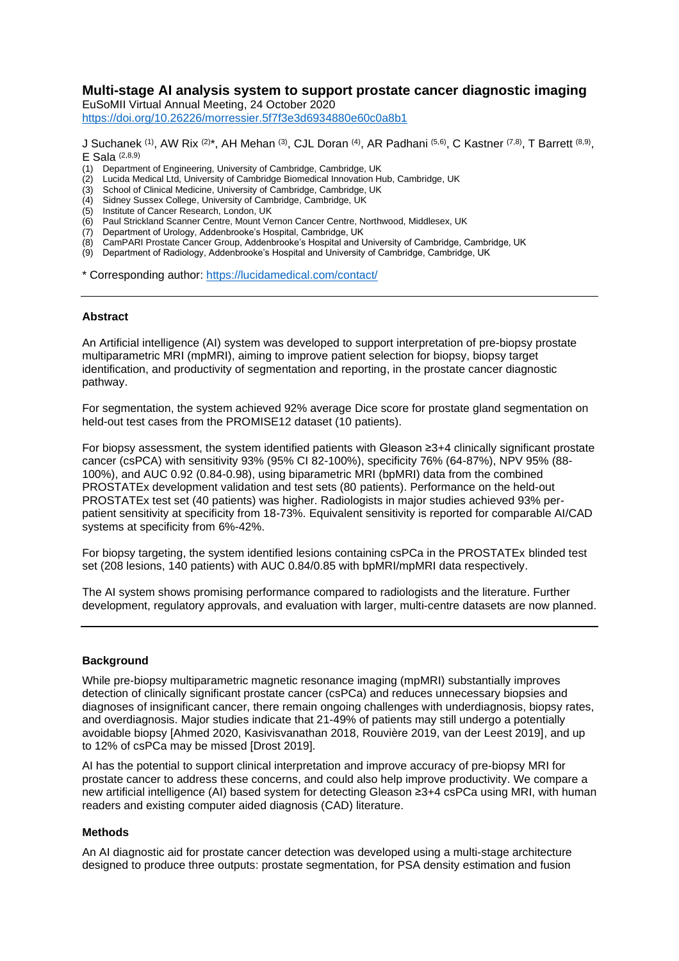# **Multi-stage AI analysis system to support prostate cancer diagnostic imaging**

EuSoMII Virtual Annual Meeting, 24 October 2020 <https://doi.org/10.26226/morressier.5f7f3e3d6934880e60c0a8b1>

J Suchanek <sup>(1)</sup>, AW Rix <sup>(2)\*</sup>, AH Mehan <sup>(3)</sup>, CJL Doran <sup>(4)</sup>, AR Padhani <sup>(5,6)</sup>, C Kastner <sup>(7,8)</sup>, T Barrett <sup>(8,9)</sup>,  $E$  Sala  $(2,8,9)$ 

- (1) Department of Engineering, University of Cambridge, Cambridge, UK
- Lucida Medical Ltd, University of Cambridge Biomedical Innovation Hub, Cambridge, UK
- (3) School of Clinical Medicine, University of Cambridge, Cambridge, UK
- (4) Sidney Sussex College, University of Cambridge, Cambridge, UK
- (5) Institute of Cancer Research, London, UK
- (6) Paul Strickland Scanner Centre, Mount Vernon Cancer Centre, Northwood, Middlesex, UK
- (7) Department of Urology, Addenbrooke's Hospital, Cambridge, UK
- (8) CamPARI Prostate Cancer Group, Addenbrooke's Hospital and University of Cambridge, Cambridge, UK
- (9) Department of Radiology, Addenbrooke's Hospital and University of Cambridge, Cambridge, UK

\* Corresponding author:<https://lucidamedical.com/contact/>

#### **Abstract**

An Artificial intelligence (AI) system was developed to support interpretation of pre-biopsy prostate multiparametric MRI (mpMRI), aiming to improve patient selection for biopsy, biopsy target identification, and productivity of segmentation and reporting, in the prostate cancer diagnostic pathway.

For segmentation, the system achieved 92% average Dice score for prostate gland segmentation on held-out test cases from the PROMISE12 dataset (10 patients).

For biopsy assessment, the system identified patients with Gleason ≥3+4 clinically significant prostate cancer (csPCA) with sensitivity 93% (95% CI 82-100%), specificity 76% (64-87%), NPV 95% (88- 100%), and AUC 0.92 (0.84-0.98), using biparametric MRI (bpMRI) data from the combined PROSTATEx development validation and test sets (80 patients). Performance on the held-out PROSTATEx test set (40 patients) was higher. Radiologists in major studies achieved 93% perpatient sensitivity at specificity from 18-73%. Equivalent sensitivity is reported for comparable AI/CAD systems at specificity from 6%-42%.

For biopsy targeting, the system identified lesions containing csPCa in the PROSTATEx blinded test set (208 lesions, 140 patients) with AUC 0.84/0.85 with bpMRI/mpMRI data respectively.

The AI system shows promising performance compared to radiologists and the literature. Further development, regulatory approvals, and evaluation with larger, multi-centre datasets are now planned.

#### **Background**

While pre-biopsy multiparametric magnetic resonance imaging (mpMRI) substantially improves detection of clinically significant prostate cancer (csPCa) and reduces unnecessary biopsies and diagnoses of insignificant cancer, there remain ongoing challenges with underdiagnosis, biopsy rates, and overdiagnosis. Major studies indicate that 21-49% of patients may still undergo a potentially avoidable biopsy [Ahmed 2020, Kasivisvanathan 2018, Rouvière 2019, van der Leest 2019], and up to 12% of csPCa may be missed [Drost 2019].

AI has the potential to support clinical interpretation and improve accuracy of pre-biopsy MRI for prostate cancer to address these concerns, and could also help improve productivity. We compare a new artificial intelligence (AI) based system for detecting Gleason ≥3+4 csPCa using MRI, with human readers and existing computer aided diagnosis (CAD) literature.

#### **Methods**

An AI diagnostic aid for prostate cancer detection was developed using a multi-stage architecture designed to produce three outputs: prostate segmentation, for PSA density estimation and fusion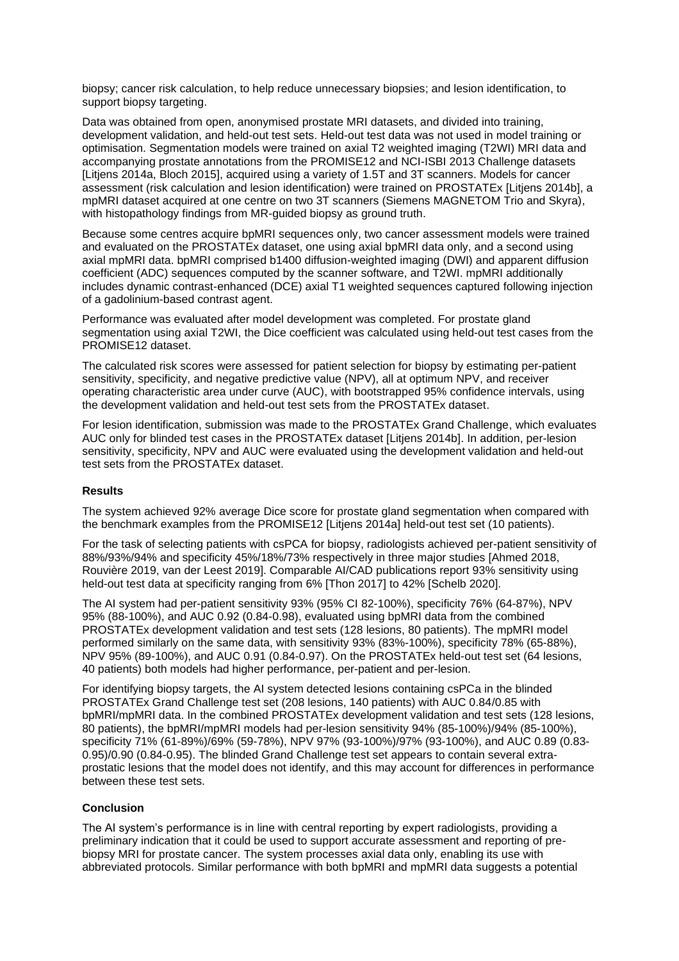biopsy; cancer risk calculation, to help reduce unnecessary biopsies; and lesion identification, to support biopsy targeting.

Data was obtained from open, anonymised prostate MRI datasets, and divided into training, development validation, and held-out test sets. Held-out test data was not used in model training or optimisation. Segmentation models were trained on axial T2 weighted imaging (T2WI) MRI data and accompanying prostate annotations from the PROMISE12 and NCI-ISBI 2013 Challenge datasets [Litjens 2014a, Bloch 2015], acquired using a variety of 1.5T and 3T scanners. Models for cancer assessment (risk calculation and lesion identification) were trained on PROSTATEx [Litjens 2014b], a mpMRI dataset acquired at one centre on two 3T scanners (Siemens MAGNETOM Trio and Skyra), with histopathology findings from MR-guided biopsy as ground truth.

Because some centres acquire bpMRI sequences only, two cancer assessment models were trained and evaluated on the PROSTATEx dataset, one using axial bpMRI data only, and a second using axial mpMRI data. bpMRI comprised b1400 diffusion-weighted imaging (DWI) and apparent diffusion coefficient (ADC) sequences computed by the scanner software, and T2WI. mpMRI additionally includes dynamic contrast-enhanced (DCE) axial T1 weighted sequences captured following injection of a gadolinium-based contrast agent.

Performance was evaluated after model development was completed. For prostate gland segmentation using axial T2WI, the Dice coefficient was calculated using held-out test cases from the PROMISE12 dataset.

The calculated risk scores were assessed for patient selection for biopsy by estimating per-patient sensitivity, specificity, and negative predictive value (NPV), all at optimum NPV, and receiver operating characteristic area under curve (AUC), with bootstrapped 95% confidence intervals, using the development validation and held-out test sets from the PROSTATEx dataset.

For lesion identification, submission was made to the PROSTATEx Grand Challenge, which evaluates AUC only for blinded test cases in the PROSTATEx dataset [Litjens 2014b]. In addition, per-lesion sensitivity, specificity, NPV and AUC were evaluated using the development validation and held-out test sets from the PROSTATEx dataset.

# **Results**

The system achieved 92% average Dice score for prostate gland segmentation when compared with the benchmark examples from the PROMISE12 [Litjens 2014a] held-out test set (10 patients).

For the task of selecting patients with csPCA for biopsy, radiologists achieved per-patient sensitivity of 88%/93%/94% and specificity 45%/18%/73% respectively in three major studies [Ahmed 2018, Rouvière 2019, van der Leest 2019]. Comparable AI/CAD publications report 93% sensitivity using held-out test data at specificity ranging from 6% [Thon 2017] to 42% [Schelb 2020].

The AI system had per-patient sensitivity 93% (95% CI 82-100%), specificity 76% (64-87%), NPV 95% (88-100%), and AUC 0.92 (0.84-0.98), evaluated using bpMRI data from the combined PROSTATEx development validation and test sets (128 lesions, 80 patients). The mpMRI model performed similarly on the same data, with sensitivity 93% (83%-100%), specificity 78% (65-88%), NPV 95% (89-100%), and AUC 0.91 (0.84-0.97). On the PROSTATEx held-out test set (64 lesions, 40 patients) both models had higher performance, per-patient and per-lesion.

For identifying biopsy targets, the AI system detected lesions containing csPCa in the blinded PROSTATEx Grand Challenge test set (208 lesions, 140 patients) with AUC 0.84/0.85 with bpMRI/mpMRI data. In the combined PROSTATEx development validation and test sets (128 lesions, 80 patients), the bpMRI/mpMRI models had per-lesion sensitivity 94% (85-100%)/94% (85-100%), specificity 71% (61-89%)/69% (59-78%), NPV 97% (93-100%)/97% (93-100%), and AUC 0.89 (0.83- 0.95)/0.90 (0.84-0.95). The blinded Grand Challenge test set appears to contain several extraprostatic lesions that the model does not identify, and this may account for differences in performance between these test sets.

## **Conclusion**

The AI system's performance is in line with central reporting by expert radiologists, providing a preliminary indication that it could be used to support accurate assessment and reporting of prebiopsy MRI for prostate cancer. The system processes axial data only, enabling its use with abbreviated protocols. Similar performance with both bpMRI and mpMRI data suggests a potential